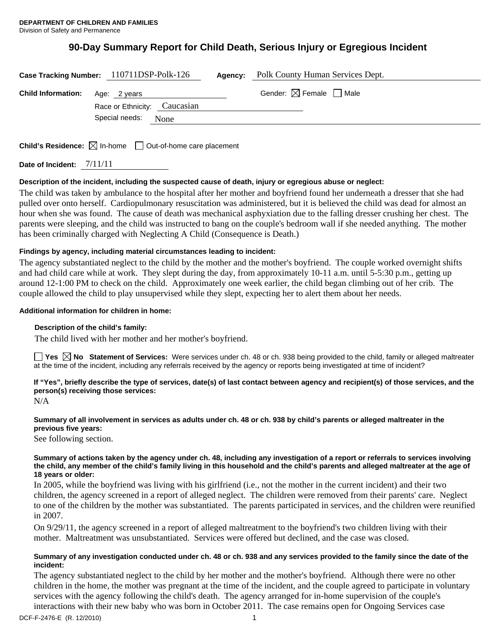# **90-Day Summary Report for Child Death, Serious Injury or Egregious Incident**

|                           | Case Tracking Number: 110711DSP-Polk-126     | Agency: | Polk County Human Services Dept.       |
|---------------------------|----------------------------------------------|---------|----------------------------------------|
| <b>Child Information:</b> | Age: 2 years<br>Race or Ethnicity: Caucasian |         | Gender: $\boxtimes$ Female $\Box$ Male |
|                           | Special needs:<br>None                       |         |                                        |
|                           |                                              |         |                                        |

**Child's Residence:**  $\boxtimes$  In-home  $\Box$  Out-of-home care placement

**Date of Incident:** 7/11/11

# **Description of the incident, including the suspected cause of death, injury or egregious abuse or neglect:**

The child was taken by ambulance to the hospital after her mother and boyfriend found her underneath a dresser that she had pulled over onto herself. Cardiopulmonary resuscitation was administered, but it is believed the child was dead for almost an hour when she was found. The cause of death was mechanical asphyxiation due to the falling dresser crushing her chest. The parents were sleeping, and the child was instructed to bang on the couple's bedroom wall if she needed anything. The mother has been criminally charged with Neglecting A Child (Consequence is Death.)

# **Findings by agency, including material circumstances leading to incident:**

The agency substantiated neglect to the child by the mother and the mother's boyfriend. The couple worked overnight shifts and had child care while at work. They slept during the day, from approximately 10-11 a.m. until 5-5:30 p.m., getting up around 12-1:00 PM to check on the child. Approximately one week earlier, the child began climbing out of her crib. The couple allowed the child to play unsupervised while they slept, expecting her to alert them about her needs.

#### **Additional information for children in home:**

#### **Description of the child's family:**

The child lived with her mother and her mother's boyfriend.

**Yes No Statement of Services:** Were services under ch. 48 or ch. 938 being provided to the child, family or alleged maltreater at the time of the incident, including any referrals received by the agency or reports being investigated at time of incident?

# **If "Yes", briefly describe the type of services, date(s) of last contact between agency and recipient(s) of those services, and the person(s) receiving those services:**

N/A

#### **Summary of all involvement in services as adults under ch. 48 or ch. 938 by child's parents or alleged maltreater in the previous five years:**

See following section.

### **Summary of actions taken by the agency under ch. 48, including any investigation of a report or referrals to services involving the child, any member of the child's family living in this household and the child's parents and alleged maltreater at the age of 18 years or older:**

In 2005, while the boyfriend was living with his girlfriend (i.e., not the mother in the current incident) and their two children, the agency screened in a report of alleged neglect. The children were removed from their parents' care. Neglect to one of the children by the mother was substantiated. The parents participated in services, and the children were reunified in 2007.

On 9/29/11, the agency screened in a report of alleged maltreatment to the boyfriend's two children living with their mother. Maltreatment was unsubstantiated. Services were offered but declined, and the case was closed.

#### **Summary of any investigation conducted under ch. 48 or ch. 938 and any services provided to the family since the date of the incident:**

The agency substantiated neglect to the child by her mother and the mother's boyfriend. Although there were no other children in the home, the mother was pregnant at the time of the incident, and the couple agreed to participate in voluntary services with the agency following the child's death. The agency arranged for in-home supervision of the couple's interactions with their new baby who was born in October 2011. The case remains open for Ongoing Services case